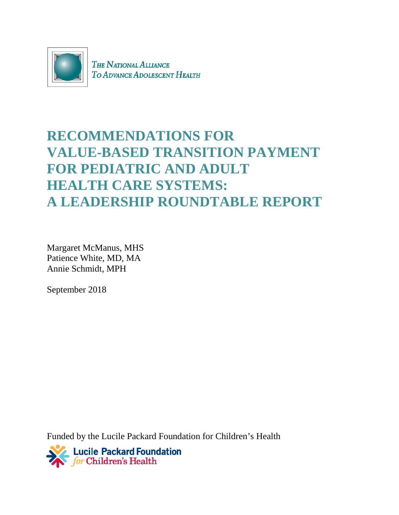

THE NATIONAL ALLIANCE TO ADVANCE ADOLESCENT HEALTH

# **RECOMMENDATIONS FOR VALUE-BASED TRANSITION PAYMENT FOR PEDIATRIC AND ADULT HEALTH CARE SYSTEMS: A LEADERSHIP ROUNDTABLE REPORT**

Margaret McManus, MHS Patience White, MD, MA Annie Schmidt, MPH

September 2018

Funded by the Lucile Packard Foundation for Children's Health

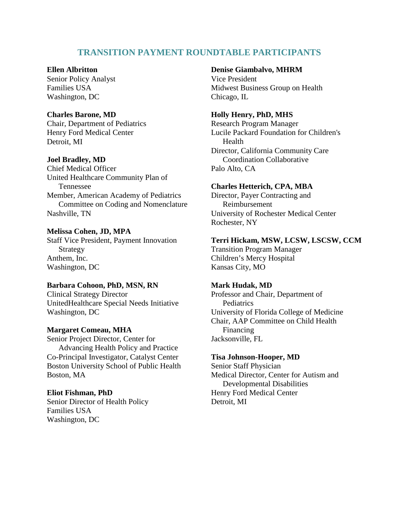# **TRANSITION PAYMENT ROUNDTABLE PARTICIPANTS**

# **Ellen Albritton**

Senior Policy Analyst Families USA Washington, DC

# **Charles Barone, MD**

Chair, Department of Pediatrics Henry Ford Medical Center Detroit, MI

# **Joel Bradley, MD**

Chief Medical Officer United Healthcare Community Plan of Tennessee Member, American Academy of Pediatrics Committee on Coding and Nomenclature Nashville, TN

### **Melissa Cohen, JD, MPA**

Staff Vice President, Payment Innovation Strategy Anthem, Inc. Washington, DC

# **Barbara Cohoon, PhD, MSN, RN**

Clinical Strategy Director UnitedHealthcare Special Needs Initiative Washington, DC

# **Margaret Comeau, MHA**

Senior Project Director, Center for Advancing Health Policy and Practice Co-Principal Investigator, Catalyst Center Boston University School of Public Health Boston, MA

### **Eliot Fishman, PhD**

Senior Director of Health Policy Families USA Washington, DC

# **Denise Giambalvo, MHRM**

Vice President Midwest Business Group on Health Chicago, IL

### **Holly Henry, PhD, MHS**

Research Program Manager Lucile Packard Foundation for Children's Health Director, California Community Care Coordination Collaborative Palo Alto, CA

### **Charles Hetterich, CPA, MBA**

Director, Payer Contracting and Reimbursement University of Rochester Medical Center Rochester, NY

# **Terri Hickam, MSW, LCSW, LSCSW, CCM**

Transition Program Manager Children's Mercy Hospital Kansas City, MO

#### **Mark Hudak, MD**

Professor and Chair, Department of **Pediatrics** University of Florida College of Medicine Chair, AAP Committee on Child Health Financing Jacksonville, FL

#### **Tisa Johnson-Hooper, MD**

Senior Staff Physician Medical Director, Center for Autism and Developmental Disabilities Henry Ford Medical Center Detroit, MI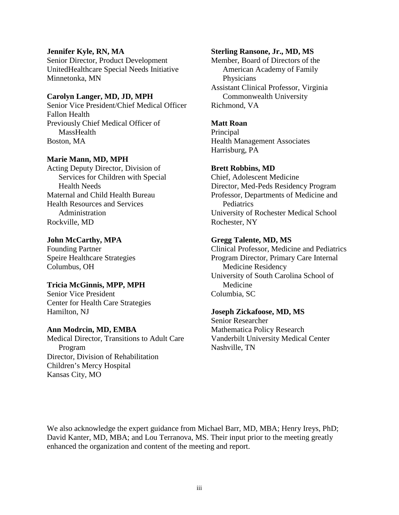### **Jennifer Kyle, RN, MA**

Senior Director, Product Development UnitedHealthcare Special Needs Initiative Minnetonka, MN

# **Carolyn Langer, MD, JD, MPH**

Senior Vice President/Chief Medical Officer Fallon Health Previously Chief Medical Officer of **MassHealth** Boston, MA

### **Marie Mann, MD, MPH**

Acting Deputy Director, Division of Services for Children with Special Health Needs Maternal and Child Health Bureau Health Resources and Services Administration Rockville, MD

### **John McCarthy, MPA**

Founding Partner Speire Healthcare Strategies Columbus, OH

#### **Tricia McGinnis, MPP, MPH**

Senior Vice President Center for Health Care Strategies Hamilton, NJ

### **Ann Modrcin, MD, EMBA**

Medical Director, Transitions to Adult Care Program Director, Division of Rehabilitation Children's Mercy Hospital Kansas City, MO

### **Sterling Ransone, Jr., MD, MS**

Member, Board of Directors of the American Academy of Family Physicians Assistant Clinical Professor, Virginia Commonwealth University Richmond, VA

#### **Matt Roan**

**Principal** Health Management Associates Harrisburg, PA

#### **Brett Robbins, MD**

Chief, Adolescent Medicine Director, Med-Peds Residency Program Professor, Departments of Medicine and **Pediatrics** University of Rochester Medical School Rochester, NY

#### **Gregg Talente, MD, MS**

Clinical Professor, Medicine and Pediatrics Program Director, Primary Care Internal Medicine Residency University of South Carolina School of Medicine Columbia, SC

### **Joseph Zickafoose, MD, MS**

Senior Researcher Mathematica Policy Research Vanderbilt University Medical Center Nashville, TN

We also acknowledge the expert guidance from Michael Barr, MD, MBA; Henry Ireys, PhD; David Kanter, MD, MBA; and Lou Terranova, MS. Their input prior to the meeting greatly enhanced the organization and content of the meeting and report.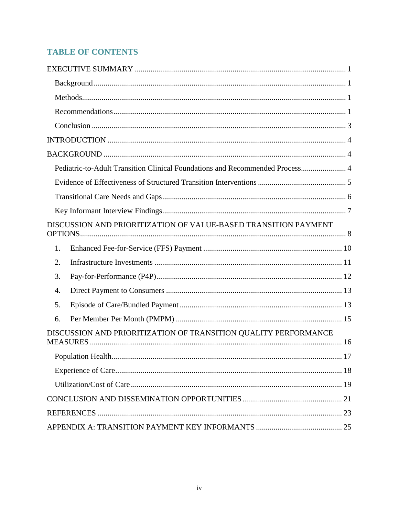# **TABLE OF CONTENTS**

| Pediatric-to-Adult Transition Clinical Foundations and Recommended Process 4 |
|------------------------------------------------------------------------------|
|                                                                              |
|                                                                              |
|                                                                              |
| DISCUSSION AND PRIORITIZATION OF VALUE-BASED TRANSITION PAYMENT              |
| 1.                                                                           |
| 2.                                                                           |
| 3.                                                                           |
| 4.                                                                           |
| 5.                                                                           |
| 6.                                                                           |
| DISCUSSION AND PRIORITIZATION OF TRANSITION QUALITY PERFORMANCE              |
|                                                                              |
|                                                                              |
|                                                                              |
|                                                                              |
|                                                                              |
|                                                                              |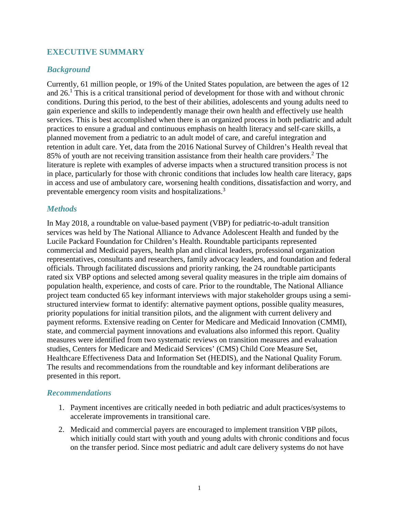# <span id="page-4-0"></span>**EXECUTIVE SUMMARY**

# <span id="page-4-1"></span>*Background*

Currently, 61 million people, or 19% of the United States population, are between the ages of 12 and 26.<sup>1</sup> This is a critical transitional period of development for those with and without chronic conditions. During this period, to the best of their abilities, adolescents and young adults need to gain experience and skills to independently manage their own health and effectively use health services. This is best accomplished when there is an organized process in both pediatric and adult practices to ensure a gradual and continuous emphasis on health literacy and self-care skills, a planned movement from a pediatric to an adult model of care, and careful integration and retention in adult care. Yet, data from the 2016 National Survey of Children's Health reveal that 85% of youth are not receiving transition assistance from their health care providers.<sup>2</sup> The literature is replete with examples of adverse impacts when a structured transition process is not in place, particularly for those with chronic conditions that includes low health care literacy, gaps in access and use of ambulatory care, worsening health conditions, dissatisfaction and worry, and preventable emergency room visits and hospitalizations.3

# <span id="page-4-2"></span>*Methods*

In May 2018, a roundtable on value-based payment (VBP) for pediatric-to-adult transition services was held by The National Alliance to Advance Adolescent Health and funded by the Lucile Packard Foundation for Children's Health. Roundtable participants represented commercial and Medicaid payers, health plan and clinical leaders, professional organization representatives, consultants and researchers, family advocacy leaders, and foundation and federal officials. Through facilitated discussions and priority ranking, the 24 roundtable participants rated six VBP options and selected among several quality measures in the triple aim domains of population health, experience, and costs of care. Prior to the roundtable, The National Alliance project team conducted 65 key informant interviews with major stakeholder groups using a semistructured interview format to identify: alternative payment options, possible quality measures, priority populations for initial transition pilots, and the alignment with current delivery and payment reforms. Extensive reading on Center for Medicare and Medicaid Innovation (CMMI), state, and commercial payment innovations and evaluations also informed this report. Quality measures were identified from two systematic reviews on transition measures and evaluation studies, Centers for Medicare and Medicaid Services' (CMS) Child Core Measure Set, Healthcare Effectiveness Data and Information Set (HEDIS), and the National Quality Forum. The results and recommendations from the roundtable and key informant deliberations are presented in this report.

# <span id="page-4-3"></span>*Recommendations*

- 1. Payment incentives are critically needed in both pediatric and adult practices/systems to accelerate improvements in transitional care.
- 2. Medicaid and commercial payers are encouraged to implement transition VBP pilots, which initially could start with youth and young adults with chronic conditions and focus on the transfer period. Since most pediatric and adult care delivery systems do not have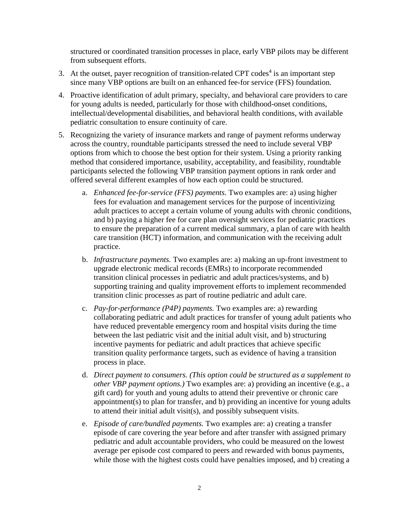structured or coordinated transition processes in place, early VBP pilots may be different from subsequent efforts.

- 3. At the outset, payer recognition of transition-related CPT codes<sup>4</sup> is an important step since many VBP options are built on an enhanced fee-for service (FFS) foundation.
- 4. Proactive identification of adult primary, specialty, and behavioral care providers to care for young adults is needed, particularly for those with childhood-onset conditions, intellectual/developmental disabilities, and behavioral health conditions, with available pediatric consultation to ensure continuity of care.
- 5. Recognizing the variety of insurance markets and range of payment reforms underway across the country, roundtable participants stressed the need to include several VBP options from which to choose the best option for their system. Using a priority ranking method that considered importance, usability, acceptability, and feasibility, roundtable participants selected the following VBP transition payment options in rank order and offered several different examples of how each option could be structured.
	- a. *Enhanced fee-for-service (FFS) payments*. Two examples are: a) using higher fees for evaluation and management services for the purpose of incentivizing adult practices to accept a certain volume of young adults with chronic conditions, and b) paying a higher fee for care plan oversight services for pediatric practices to ensure the preparation of a current medical summary, a plan of care with health care transition (HCT) information, and communication with the receiving adult practice.
	- b. *Infrastructure payments.* Two examples are: a) making an up-front investment to upgrade electronic medical records (EMRs) to incorporate recommended transition clinical processes in pediatric and adult practices/systems, and b) supporting training and quality improvement efforts to implement recommended transition clinic processes as part of routine pediatric and adult care.
	- c. *Pay-for-performance (P4P) payments.* Two examples are: a) rewarding collaborating pediatric and adult practices for transfer of young adult patients who have reduced preventable emergency room and hospital visits during the time between the last pediatric visit and the initial adult visit, and b) structuring incentive payments for pediatric and adult practices that achieve specific transition quality performance targets, such as evidence of having a transition process in place.
	- d. *Direct payment to consumers. (This option could be structured as a supplement to other VBP payment options.)* Two examples are: a) providing an incentive (e.g., a gift card) for youth and young adults to attend their preventive or chronic care appointment(s) to plan for transfer, and b) providing an incentive for young adults to attend their initial adult visit(s), and possibly subsequent visits.
	- e. *Episode of care/bundled payments.* Two examples are: a) creating a transfer episode of care covering the year before and after transfer with assigned primary pediatric and adult accountable providers, who could be measured on the lowest average per episode cost compared to peers and rewarded with bonus payments, while those with the highest costs could have penalties imposed, and b) creating a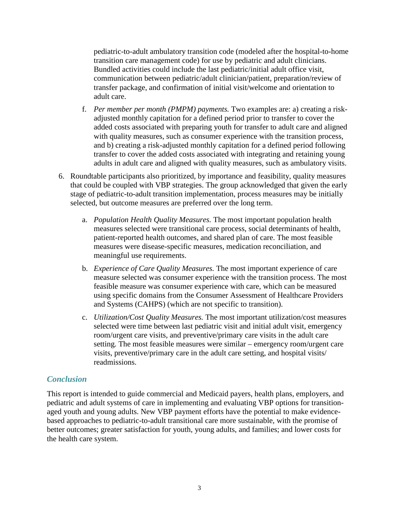pediatric-to-adult ambulatory transition code (modeled after the hospital-to-home transition care management code) for use by pediatric and adult clinicians. Bundled activities could include the last pediatric/initial adult office visit, communication between pediatric/adult clinician/patient, preparation/review of transfer package, and confirmation of initial visit/welcome and orientation to adult care.

- f. *Per member per month (PMPM) payments.* Two examples are: a) creating a riskadjusted monthly capitation for a defined period prior to transfer to cover the added costs associated with preparing youth for transfer to adult care and aligned with quality measures, such as consumer experience with the transition process, and b) creating a risk-adjusted monthly capitation for a defined period following transfer to cover the added costs associated with integrating and retaining young adults in adult care and aligned with quality measures, such as ambulatory visits.
- 6. Roundtable participants also prioritized, by importance and feasibility, quality measures that could be coupled with VBP strategies. The group acknowledged that given the early stage of pediatric-to-adult transition implementation, process measures may be initially selected, but outcome measures are preferred over the long term.
	- a. *Population Health Quality Measures.* The most important population health measures selected were transitional care process, social determinants of health, patient-reported health outcomes, and shared plan of care. The most feasible measures were disease-specific measures, medication reconciliation, and meaningful use requirements.
	- b. *Experience of Care Quality Measures.* The most important experience of care measure selected was consumer experience with the transition process. The most feasible measure was consumer experience with care, which can be measured using specific domains from the Consumer Assessment of Healthcare Providers and Systems (CAHPS) (which are not specific to transition).
	- c. *Utilization/Cost Quality Measures.* The most important utilization/cost measures selected were time between last pediatric visit and initial adult visit, emergency room/urgent care visits, and preventive/primary care visits in the adult care setting. The most feasible measures were similar – emergency room/urgent care visits, preventive/primary care in the adult care setting, and hospital visits/ readmissions.

# <span id="page-6-0"></span>*Conclusion*

This report is intended to guide commercial and Medicaid payers, health plans, employers, and pediatric and adult systems of care in implementing and evaluating VBP options for transitionaged youth and young adults. New VBP payment efforts have the potential to make evidencebased approaches to pediatric-to-adult transitional care more sustainable, with the promise of better outcomes; greater satisfaction for youth, young adults, and families; and lower costs for the health care system.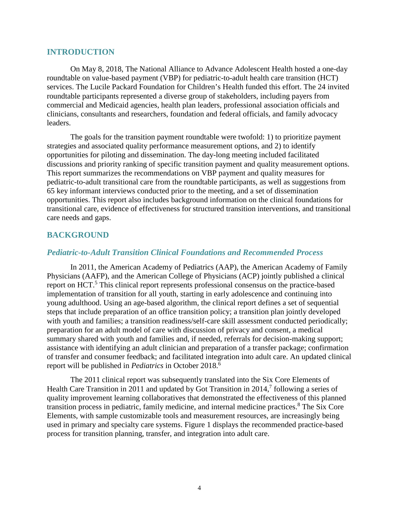# <span id="page-7-0"></span>**INTRODUCTION**

On May 8, 2018, The National Alliance to Advance Adolescent Health hosted a one-day roundtable on value-based payment (VBP) for pediatric-to-adult health care transition (HCT) services. The Lucile Packard Foundation for Children's Health funded this effort. The 24 invited roundtable participants represented a diverse group of stakeholders, including payers from commercial and Medicaid agencies, health plan leaders, professional association officials and clinicians, consultants and researchers, foundation and federal officials, and family advocacy leaders.

The goals for the transition payment roundtable were twofold: 1) to prioritize payment strategies and associated quality performance measurement options, and 2) to identify opportunities for piloting and dissemination. The day-long meeting included facilitated discussions and priority ranking of specific transition payment and quality measurement options. This report summarizes the recommendations on VBP payment and quality measures for pediatric-to-adult transitional care from the roundtable participants, as well as suggestions from 65 key informant interviews conducted prior to the meeting, and a set of dissemination opportunities. This report also includes background information on the clinical foundations for transitional care, evidence of effectiveness for structured transition interventions, and transitional care needs and gaps.

# <span id="page-7-1"></span>**BACKGROUND**

# <span id="page-7-2"></span>*Pediatric-to-Adult Transition Clinical Foundations and Recommended Process*

In 2011, the American Academy of Pediatrics (AAP), the American Academy of Family Physicians (AAFP), and the American College of Physicians (ACP) jointly published a clinical report on HCT.<sup>5</sup> This clinical report represents professional consensus on the practice-based implementation of transition for all youth, starting in early adolescence and continuing into young adulthood. Using an age-based algorithm, the clinical report defines a set of sequential steps that include preparation of an office transition policy; a transition plan jointly developed with youth and families; a transition readiness/self-care skill assessment conducted periodically; preparation for an adult model of care with discussion of privacy and consent, a medical summary shared with youth and families and, if needed, referrals for decision-making support; assistance with identifying an adult clinician and preparation of a transfer package; confirmation of transfer and consumer feedback; and facilitated integration into adult care. An updated clinical report will be published in *Pediatrics* in October 2018.6

The 2011 clinical report was subsequently translated into the Six Core Elements of Health Care Transition in 2011 and updated by Got Transition in 2014,<sup>7</sup> following a series of quality improvement learning collaboratives that demonstrated the effectiveness of this planned transition process in pediatric, family medicine, and internal medicine practices. <sup>8</sup> The Six Core Elements, with sample customizable tools and measurement resources, are increasingly being used in primary and specialty care systems. Figure 1 displays the recommended practice-based process for transition planning, transfer, and integration into adult care.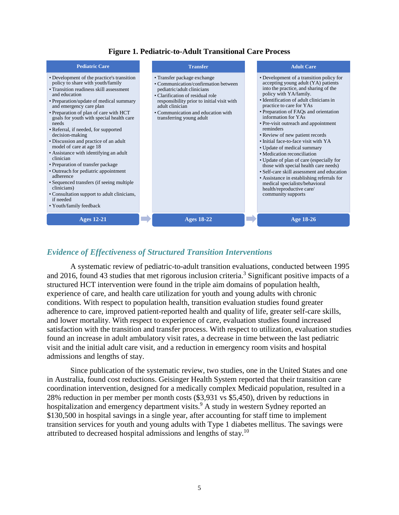# **Figure 1. Pediatric-to-Adult Transitional Care Process**



# <span id="page-8-0"></span>*Evidence of Effectiveness of Structured Transition Interventions*

A systematic review of pediatric-to-adult transition evaluations, conducted between 1995 and 2016, found 43 studies that met rigorous inclusion criteria.<sup>3</sup> Significant positive impacts of a structured HCT intervention were found in the triple aim domains of population health, experience of care, and health care utilization for youth and young adults with chronic conditions. With respect to population health, transition evaluation studies found greater adherence to care, improved patient-reported health and quality of life, greater self-care skills, and lower mortality. With respect to experience of care, evaluation studies found increased satisfaction with the transition and transfer process. With respect to utilization, evaluation studies found an increase in adult ambulatory visit rates, a decrease in time between the last pediatric visit and the initial adult care visit, and a reduction in emergency room visits and hospital admissions and lengths of stay.

Since publication of the systematic review, two studies, one in the United States and one in Australia, found cost reductions. Geisinger Health System reported that their transition care coordination intervention, designed for a medically complex Medicaid population, resulted in a 28% reduction in per member per month costs (\$3,931 vs \$5,450), driven by reductions in hospitalization and emergency department visits.<sup>9</sup> A study in western Sydney reported an \$130,500 in hospital savings in a single year, after accounting for staff time to implement transition services for youth and young adults with Type 1 diabetes mellitus. The savings were attributed to decreased hospital admissions and lengths of stay.10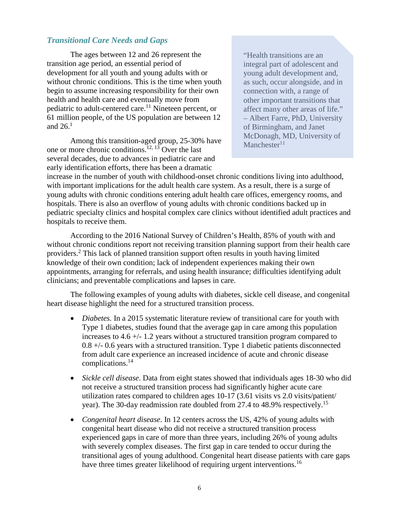# <span id="page-9-0"></span>*Transitional Care Needs and Gaps*

The ages between 12 and 26 represent the transition age period, an essential period of development for all youth and young adults with or without chronic conditions. This is the time when youth begin to assume increasing responsibility for their own health and health care and eventually move from pediatric to adult-centered care.<sup>11</sup> Nineteen percent, or 61 million people, of the US population are between 12 and  $26.<sup>1</sup>$ 

Among this transition-aged group, 25-30% have one or more chronic conditions. 12, 13 Over the last several decades, due to advances in pediatric care and early identification efforts, there has been a dramatic

"Health transitions are an integral part of adolescent and young adult development and, as such, occur alongside, and in connection with, a range of other important transitions that affect many other areas of life." – Albert Farre, PhD, University of Birmingham, and Janet McDonagh, MD, University of Manchester $11$ 

increase in the number of youth with childhood-onset chronic conditions living into adulthood, with important implications for the adult health care system. As a result, there is a surge of young adults with chronic conditions entering adult health care offices, emergency rooms, and hospitals. There is also an overflow of young adults with chronic conditions backed up in pediatric specialty clinics and hospital complex care clinics without identified adult practices and hospitals to receive them.

According to the 2016 National Survey of Children's Health, 85% of youth with and without chronic conditions report not receiving transition planning support from their health care providers. <sup>2</sup> This lack of planned transition support often results in youth having limited knowledge of their own condition; lack of independent experiences making their own appointments, arranging for referrals, and using health insurance; difficulties identifying adult clinicians; and preventable complications and lapses in care.

The following examples of young adults with diabetes, sickle cell disease, and congenital heart disease highlight the need for a structured transition process.

- *Diabetes.* In a 2015 systematic literature review of transitional care for youth with Type 1 diabetes, studies found that the average gap in care among this population increases to 4.6 +/- 1.2 years without a structured transition program compared to 0.8 +/- 0.6 years with a structured transition. Type 1 diabetic patients disconnected from adult care experience an increased incidence of acute and chronic disease complications.14
- *Sickle cell disease*. Data from eight states showed that individuals ages 18-30 who did not receive a structured transition process had significantly higher acute care utilization rates compared to children ages 10-17 (3.61 visits vs 2.0 visits/patient/ year). The 30-day readmission rate doubled from 27.4 to 48.9% respectively.<sup>15</sup>
- *Congenital heart disease*. In 12 centers across the US, 42% of young adults with congenital heart disease who did not receive a structured transition process experienced gaps in care of more than three years, including 26% of young adults with severely complex diseases. The first gap in care tended to occur during the transitional ages of young adulthood. Congenital heart disease patients with care gaps have three times greater likelihood of requiring urgent interventions.<sup>16</sup>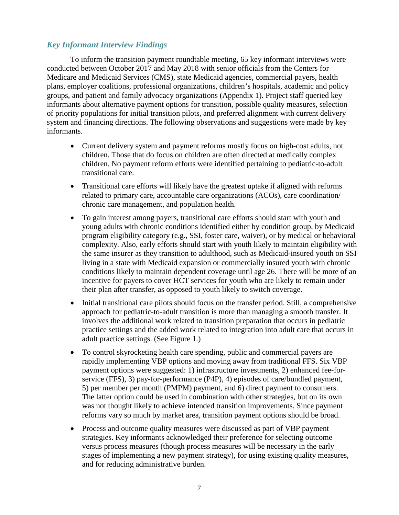# <span id="page-10-0"></span>*Key Informant Interview Findings*

To inform the transition payment roundtable meeting, 65 key informant interviews were conducted between October 2017 and May 2018 with senior officials from the Centers for Medicare and Medicaid Services (CMS), state Medicaid agencies, commercial payers, health plans, employer coalitions, professional organizations, children's hospitals, academic and policy groups, and patient and family advocacy organizations (Appendix 1). Project staff queried key informants about alternative payment options for transition, possible quality measures, selection of priority populations for initial transition pilots, and preferred alignment with current delivery system and financing directions. The following observations and suggestions were made by key informants.

- Current delivery system and payment reforms mostly focus on high-cost adults, not children. Those that do focus on children are often directed at medically complex children. No payment reform efforts were identified pertaining to pediatric-to-adult transitional care.
- Transitional care efforts will likely have the greatest uptake if aligned with reforms related to primary care, accountable care organizations (ACOs), care coordination/ chronic care management, and population health.
- To gain interest among payers, transitional care efforts should start with youth and young adults with chronic conditions identified either by condition group, by Medicaid program eligibility category (e.g., SSI, foster care, waiver), or by medical or behavioral complexity. Also, early efforts should start with youth likely to maintain eligibility with the same insurer as they transition to adulthood, such as Medicaid-insured youth on SSI living in a state with Medicaid expansion or commercially insured youth with chronic conditions likely to maintain dependent coverage until age 26. There will be more of an incentive for payers to cover HCT services for youth who are likely to remain under their plan after transfer, as opposed to youth likely to switch coverage.
- Initial transitional care pilots should focus on the transfer period. Still, a comprehensive approach for pediatric-to-adult transition is more than managing a smooth transfer. It involves the additional work related to transition preparation that occurs in pediatric practice settings and the added work related to integration into adult care that occurs in adult practice settings. (See Figure 1.)
- To control skyrocketing health care spending, public and commercial payers are rapidly implementing VBP options and moving away from traditional FFS. Six VBP payment options were suggested: 1) infrastructure investments, 2) enhanced fee-forservice (FFS), 3) pay-for-performance (P4P), 4) episodes of care/bundled payment, 5) per member per month (PMPM) payment, and 6) direct payment to consumers. The latter option could be used in combination with other strategies, but on its own was not thought likely to achieve intended transition improvements. Since payment reforms vary so much by market area, transition payment options should be broad.
- Process and outcome quality measures were discussed as part of VBP payment strategies. Key informants acknowledged their preference for selecting outcome versus process measures (though process measures will be necessary in the early stages of implementing a new payment strategy), for using existing quality measures, and for reducing administrative burden.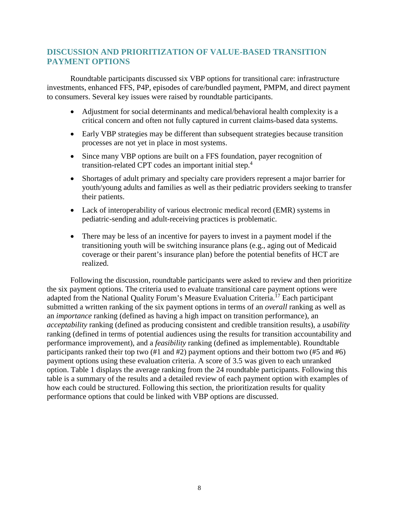# <span id="page-11-0"></span>**DISCUSSION AND PRIORITIZATION OF VALUE-BASED TRANSITION PAYMENT OPTIONS**

Roundtable participants discussed six VBP options for transitional care: infrastructure investments, enhanced FFS, P4P, episodes of care/bundled payment, PMPM, and direct payment to consumers. Several key issues were raised by roundtable participants.

- Adjustment for social determinants and medical/behavioral health complexity is a critical concern and often not fully captured in current claims-based data systems.
- Early VBP strategies may be different than subsequent strategies because transition processes are not yet in place in most systems.
- Since many VBP options are built on a FFS foundation, payer recognition of transition-related CPT codes an important initial step. 4
- Shortages of adult primary and specialty care providers represent a major barrier for youth/young adults and families as well as their pediatric providers seeking to transfer their patients.
- Lack of interoperability of various electronic medical record (EMR) systems in pediatric-sending and adult-receiving practices is problematic.
- There may be less of an incentive for payers to invest in a payment model if the transitioning youth will be switching insurance plans (e.g., aging out of Medicaid coverage or their parent's insurance plan) before the potential benefits of HCT are realized.

Following the discussion, roundtable participants were asked to review and then prioritize the six payment options. The criteria used to evaluate transitional care payment options were adapted from the National Quality Forum's Measure Evaluation Criteria.<sup>17</sup> Each participant submitted a written ranking of the six payment options in terms of an *overall* ranking as well as an *importance* ranking (defined as having a high impact on transition performance), an *acceptability* ranking (defined as producing consistent and credible transition results), a *usability*  ranking (defined in terms of potential audiences using the results for transition accountability and performance improvement), and a *feasibility* ranking (defined as implementable). Roundtable participants ranked their top two (#1 and #2) payment options and their bottom two (#5 and #6) payment options using these evaluation criteria. A score of 3.5 was given to each unranked option. Table 1 displays the average ranking from the 24 roundtable participants. Following this table is a summary of the results and a detailed review of each payment option with examples of how each could be structured. Following this section, the prioritization results for quality performance options that could be linked with VBP options are discussed.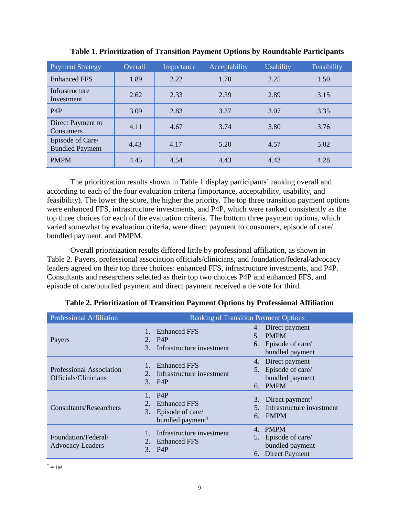| <b>Payment Strategy</b>                    | Overall | Importance | Acceptability | <b>Usability</b> | Feasibility |
|--------------------------------------------|---------|------------|---------------|------------------|-------------|
| <b>Enhanced FFS</b>                        | 1.89    | 2.22       | 1.70          | 2.25             | 1.50        |
| Infrastructure<br>Investment               | 2.62    | 2.33       | 2.39          | 2.89             | 3.15        |
| P <sub>4</sub> P                           | 3.09    | 2.83       | 3.37          | 3.07             | 3.35        |
| Direct Payment to<br>Consumers             | 4.11    | 4.67       | 3.74          | 3.80             | 3.76        |
| Episode of Care/<br><b>Bundled Payment</b> | 4.43    | 4.17       | 5.20          | 4.57             | 5.02        |
| <b>PMPM</b>                                | 4.45    | 4.54       | 4.43          | 4.43             | 4.28        |

**Table 1. Prioritization of Transition Payment Options by Roundtable Participants**

The prioritization results shown in Table 1 display participants' ranking overall and according to each of the four evaluation criteria (importance, acceptability, usability, and feasibility). The lower the score, the higher the priority. The top three transition payment options were enhanced FFS, infrastructure investments, and P4P, which were ranked consistently as the top three choices for each of the evaluation criteria. The bottom three payment options, which varied somewhat by evaluation criteria, were direct payment to consumers, episode of care/ bundled payment, and PMPM.

Overall prioritization results differed little by professional affiliation, as shown in Table 2. Payers, professional association officials/clinicians, and foundation/federal/advocacy leaders agreed on their top three choices: enhanced FFS, infrastructure investments, and P4P. Consultants and researchers selected as their top two choices P4P and enhanced FFS, and episode of care/bundled payment and direct payment received a tie vote for third.

| <b>Professional Affiliation</b>                  | <b>Ranking of Transition Payment Options</b>                                                            |                                                                                               |  |  |
|--------------------------------------------------|---------------------------------------------------------------------------------------------------------|-----------------------------------------------------------------------------------------------|--|--|
| Payers                                           | 4.<br><b>Enhanced FFS</b><br>5.<br>2. P <sub>4</sub> P<br>Infrastructure investment<br>3.               | Direct payment<br><b>PMPM</b><br>6. Episode of care/<br>bundled payment                       |  |  |
| Professional Association<br>Officials/Clinicians | <b>Enhanced FFS</b><br>Infrastructure investment<br>$3.$ P4P                                            | 4. Direct payment<br>5. Episode of care/<br>bundled payment<br>6. PMPM                        |  |  |
| Consultants/Researchers                          | P <sub>4</sub> P<br><b>Enhanced FFS</b><br>3.<br>Episode of care/<br>6.<br>bundled payment <sup>†</sup> | 3. Direct payment <sup><math>\dagger</math></sup><br>Infrastructure investment<br><b>PMPM</b> |  |  |
| Foundation/Federal/<br><b>Advocacy Leaders</b>   | 4.<br>Infrastructure investment<br>2.<br><b>Enhanced FFS</b><br>$3_{-}$<br>P4P                          | <b>PMPM</b><br>5. Episode of care/<br>bundled payment<br>6. Direct Payment                    |  |  |

**Table 2. Prioritization of Transition Payment Options by Professional Affiliation**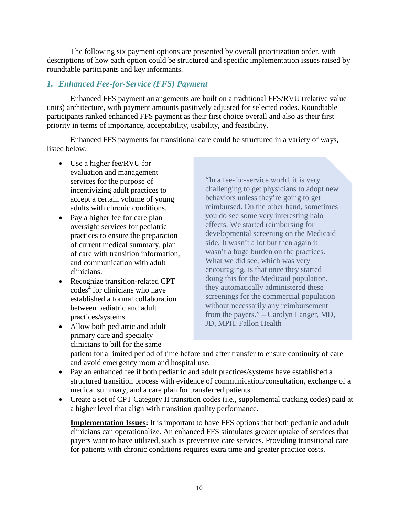The following six payment options are presented by overall prioritization order, with descriptions of how each option could be structured and specific implementation issues raised by roundtable participants and key informants.

# <span id="page-13-0"></span>*1. Enhanced Fee-for-Service (FFS) Payment*

Enhanced FFS payment arrangements are built on a traditional FFS/RVU (relative value units) architecture, with payment amounts positively adjusted for selected codes. Roundtable participants ranked enhanced FFS payment as their first choice overall and also as their first priority in terms of importance, acceptability, usability, and feasibility.

Enhanced FFS payments for transitional care could be structured in a variety of ways, listed below.

- Use a higher fee/RVU for evaluation and management services for the purpose of incentivizing adult practices to accept a certain volume of young adults with chronic conditions.
- Pay a higher fee for care plan oversight services for pediatric practices to ensure the preparation of current medical summary, plan of care with transition information, and communication with adult clinicians.
- Recognize transition-related CPT codes<sup>4</sup> for clinicians who have established a formal collaboration between pediatric and adult practices/systems.
- Allow both pediatric and adult primary care and specialty clinicians to bill for the same

"In a fee-for-service world, it is very challenging to get physicians to adopt new behaviors unless they're going to get reimbursed. On the other hand, sometimes you do see some very interesting halo effects. We started reimbursing for developmental screening on the Medicaid side. It wasn't a lot but then again it wasn't a huge burden on the practices. What we did see, which was very encouraging, is that once they started doing this for the Medicaid population, they automatically administered these screenings for the commercial population without necessarily any reimbursement from the payers." – Carolyn Langer, MD, JD, MPH, Fallon Health

patient for a limited period of time before and after transfer to ensure continuity of care and avoid emergency room and hospital use.

- Pay an enhanced fee if both pediatric and adult practices/systems have established a structured transition process with evidence of communication/consultation, exchange of a medical summary, and a care plan for transferred patients.
- Create a set of CPT Category II transition codes (i.e., supplemental tracking codes) paid at a higher level that align with transition quality performance.

**Implementation Issues:** It is important to have FFS options that both pediatric and adult clinicians can operationalize. An enhanced FFS stimulates greater uptake of services that payers want to have utilized, such as preventive care services. Providing transitional care for patients with chronic conditions requires extra time and greater practice costs.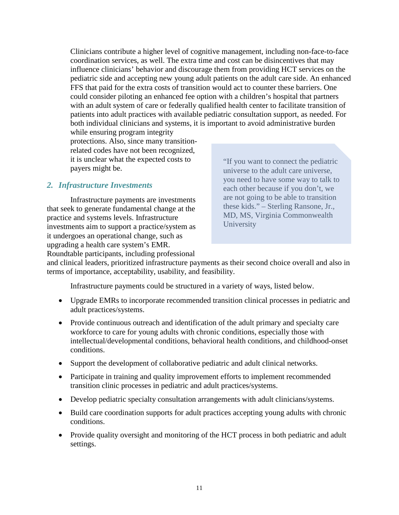Clinicians contribute a higher level of cognitive management, including non-face-to-face coordination services, as well. The extra time and cost can be disincentives that may influence clinicians' behavior and discourage them from providing HCT services on the pediatric side and accepting new young adult patients on the adult care side. An enhanced FFS that paid for the extra costs of transition would act to counter these barriers. One could consider piloting an enhanced fee option with a children's hospital that partners with an adult system of care or federally qualified health center to facilitate transition of patients into adult practices with available pediatric consultation support, as needed. For both individual clinicians and systems, it is important to avoid administrative burden

while ensuring program integrity protections. Also, since many transitionrelated codes have not been recognized, it is unclear what the expected costs to payers might be.

# <span id="page-14-0"></span>*2. Infrastructure Investments*

Infrastructure payments are investments that seek to generate fundamental change at the practice and systems levels. Infrastructure investments aim to support a practice/system as it undergoes an operational change, such as upgrading a health care system's EMR. Roundtable participants, including professional

"If you want to connect the pediatric universe to the adult care universe, you need to have some way to talk to each other because if you don't, we are not going to be able to transition these kids." – Sterling Ransone, Jr., MD, MS, Virginia Commonwealth University

and clinical leaders, prioritized infrastructure payments as their second choice overall and also in terms of importance, acceptability, usability, and feasibility.

Infrastructure payments could be structured in a variety of ways, listed below.

- Upgrade EMRs to incorporate recommended transition clinical processes in pediatric and adult practices/systems.
- Provide continuous outreach and identification of the adult primary and specialty care workforce to care for young adults with chronic conditions, especially those with intellectual/developmental conditions, behavioral health conditions, and childhood-onset conditions.
- Support the development of collaborative pediatric and adult clinical networks.
- Participate in training and quality improvement efforts to implement recommended transition clinic processes in pediatric and adult practices/systems.
- Develop pediatric specialty consultation arrangements with adult clinicians/systems.
- Build care coordination supports for adult practices accepting young adults with chronic conditions.
- Provide quality oversight and monitoring of the HCT process in both pediatric and adult settings.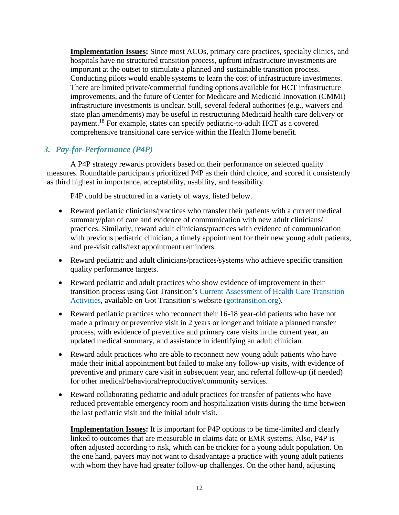**Implementation Issues:** Since most ACOs, primary care practices, specialty clinics, and hospitals have no structured transition process, upfront infrastructure investments are important at the outset to stimulate a planned and sustainable transition process. Conducting pilots would enable systems to learn the cost of infrastructure investments. There are limited private/commercial funding options available for HCT infrastructure improvements, and the future of Center for Medicare and Medicaid Innovation (CMMI) infrastructure investments is unclear. Still, several federal authorities (e.g., waivers and state plan amendments) may be useful in restructuring Medicaid health care delivery or payment.<sup>18</sup> For example, states can specify pediatric-to-adult HCT as a covered comprehensive transitional care service within the Health Home benefit.

# <span id="page-15-0"></span>*3. Pay-for-Performance (P4P)*

A P4P strategy rewards providers based on their performance on selected quality measures. Roundtable participants prioritized P4P as their third choice, and scored it consistently as third highest in importance, acceptability, usability, and feasibility.

P4P could be structured in a variety of ways, listed below.

- Reward pediatric clinicians/practices who transfer their patients with a current medical summary/plan of care and evidence of communication with new adult clinicians/ practices. Similarly, reward adult clinicians/practices with evidence of communication with previous pediatric clinician, a timely appointment for their new young adult patients, and pre-visit calls/text appointment reminders.
- Reward pediatric and adult clinicians/practices/systems who achieve specific transition quality performance targets.
- Reward pediatric and adult practices who show evidence of improvement in their transition process using Got Transition's [Current Assessment of Health Care Transition](https://www.gottransition.org/resourceGet.cfm?id=233)  [Activities,](https://www.gottransition.org/resourceGet.cfm?id=233) available on Got Transition's website [\(gottransition.org\)](https://www.gottransition.org/).
- Reward pediatric practices who reconnect their 16-18 year-old patients who have not made a primary or preventive visit in 2 years or longer and initiate a planned transfer process, with evidence of preventive and primary care visits in the current year, an updated medical summary, and assistance in identifying an adult clinician.
- Reward adult practices who are able to reconnect new young adult patients who have made their initial appointment but failed to make any follow-up visits, with evidence of preventive and primary care visit in subsequent year, and referral follow-up (if needed) for other medical/behavioral/reproductive/community services.
- Reward collaborating pediatric and adult practices for transfer of patients who have reduced preventable emergency room and hospitalization visits during the time between the last pediatric visit and the initial adult visit.

**Implementation Issues:** It is important for P4P options to be time-limited and clearly linked to outcomes that are measurable in claims data or EMR systems. Also, P4P is often adjusted according to risk, which can be trickier for a young adult population. On the one hand, payers may not want to disadvantage a practice with young adult patients with whom they have had greater follow-up challenges. On the other hand, adjusting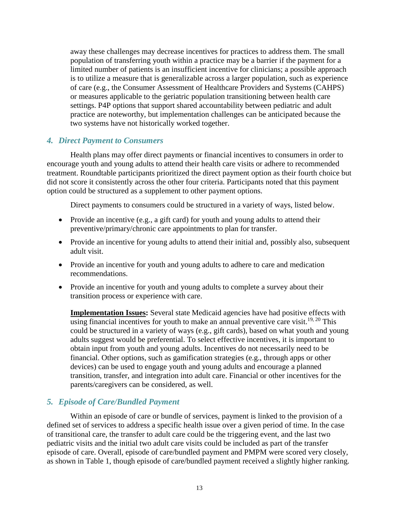away these challenges may decrease incentives for practices to address them. The small population of transferring youth within a practice may be a barrier if the payment for a limited number of patients is an insufficient incentive for clinicians; a possible approach is to utilize a measure that is generalizable across a larger population, such as experience of care (e.g., the Consumer Assessment of Healthcare Providers and Systems (CAHPS) or measures applicable to the geriatric population transitioning between health care settings. P4P options that support shared accountability between pediatric and adult practice are noteworthy, but implementation challenges can be anticipated because the two systems have not historically worked together.

# <span id="page-16-0"></span>*4. Direct Payment to Consumers*

Health plans may offer direct payments or financial incentives to consumers in order to encourage youth and young adults to attend their health care visits or adhere to recommended treatment. Roundtable participants prioritized the direct payment option as their fourth choice but did not score it consistently across the other four criteria. Participants noted that this payment option could be structured as a supplement to other payment options.

Direct payments to consumers could be structured in a variety of ways, listed below.

- Provide an incentive (e.g., a gift card) for youth and young adults to attend their preventive/primary/chronic care appointments to plan for transfer.
- Provide an incentive for young adults to attend their initial and, possibly also, subsequent adult visit.
- Provide an incentive for youth and young adults to adhere to care and medication recommendations.
- Provide an incentive for youth and young adults to complete a survey about their transition process or experience with care.

**Implementation Issues:** Several state Medicaid agencies have had positive effects with using financial incentives for youth to make an annual preventive care visit.<sup>19, 20</sup> This could be structured in a variety of ways (e.g., gift cards), based on what youth and young adults suggest would be preferential. To select effective incentives, it is important to obtain input from youth and young adults. Incentives do not necessarily need to be financial. Other options, such as gamification strategies (e.g., through apps or other devices) can be used to engage youth and young adults and encourage a planned transition, transfer, and integration into adult care. Financial or other incentives for the parents/caregivers can be considered, as well.

# <span id="page-16-1"></span>*5. Episode of Care/Bundled Payment*

Within an episode of care or bundle of services, payment is linked to the provision of a defined set of services to address a specific health issue over a given period of time. In the case of transitional care, the transfer to adult care could be the triggering event, and the last two pediatric visits and the initial two adult care visits could be included as part of the transfer episode of care. Overall, episode of care/bundled payment and PMPM were scored very closely, as shown in Table 1, though episode of care/bundled payment received a slightly higher ranking.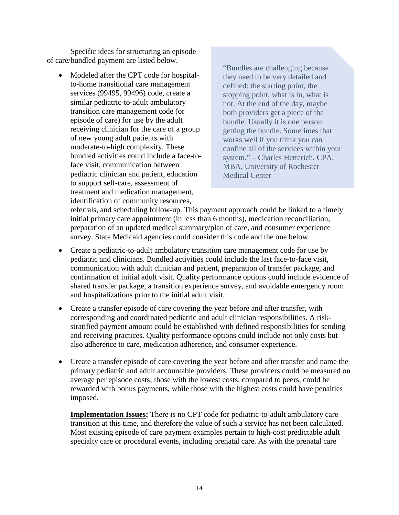Specific ideas for structuring an episode of care/bundled payment are listed below.

• Modeled after the CPT code for hospitalto-home transitional care management services (99495, 99496) code, create a similar pediatric-to-adult ambulatory transition care management code (or episode of care) for use by the adult receiving clinician for the care of a group of new young adult patients with moderate-to-high complexity. These bundled activities could include a face-toface visit, communication between pediatric clinician and patient, education to support self-care, assessment of treatment and medication management, identification of community resources,

"Bundles are challenging because they need to be very detailed and defined: the starting point, the stopping point, what is in, what is not. At the end of the day, maybe both providers get a piece of the bundle. Usually it is one person getting the bundle. Sometimes that works well if you think you can confine all of the services within your system." – Charles Hetterich, CPA, MBA, University of Rochester Medical Center

referrals, and scheduling follow-up. This payment approach could be linked to a timely initial primary care appointment (in less than 6 months), medication reconciliation, preparation of an updated medical summary/plan of care, and consumer experience survey. State Medicaid agencies could consider this code and the one below.

- Create a pediatric-to-adult ambulatory transition care management code for use by pediatric and clinicians. Bundled activities could include the last face-to-face visit, communication with adult clinician and patient, preparation of transfer package, and confirmation of initial adult visit. Quality performance options could include evidence of shared transfer package, a transition experience survey, and avoidable emergency room and hospitalizations prior to the initial adult visit.
- Create a transfer episode of care covering the year before and after transfer, with corresponding and coordinated pediatric and adult clinician responsibilities. A riskstratified payment amount could be established with defined responsibilities for sending and receiving practices. Quality performance options could include not only costs but also adherence to care, medication adherence, and consumer experience.
- Create a transfer episode of care covering the year before and after transfer and name the primary pediatric and adult accountable providers. These providers could be measured on average per episode costs; those with the lowest costs, compared to peers, could be rewarded with bonus payments, while those with the highest costs could have penalties imposed.

**Implementation Issues:** There is no CPT code for pediatric-to-adult ambulatory care transition at this time, and therefore the value of such a service has not been calculated. Most existing episode of care payment examples pertain to high-cost predictable adult specialty care or procedural events, including prenatal care. As with the prenatal care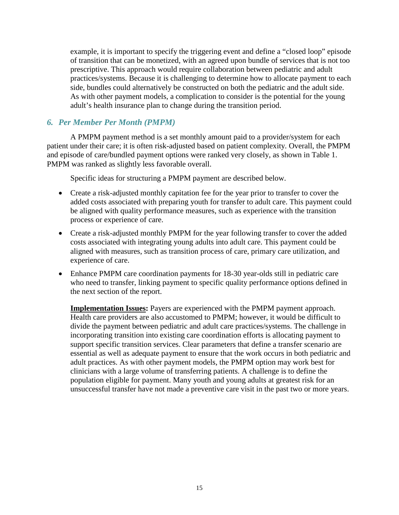example, it is important to specify the triggering event and define a "closed loop" episode of transition that can be monetized, with an agreed upon bundle of services that is not too prescriptive. This approach would require collaboration between pediatric and adult practices/systems. Because it is challenging to determine how to allocate payment to each side, bundles could alternatively be constructed on both the pediatric and the adult side. As with other payment models, a complication to consider is the potential for the young adult's health insurance plan to change during the transition period.

# <span id="page-18-0"></span>*6. Per Member Per Month (PMPM)*

A PMPM payment method is a set monthly amount paid to a provider/system for each patient under their care; it is often risk-adjusted based on patient complexity. Overall, the PMPM and episode of care/bundled payment options were ranked very closely, as shown in Table 1. PMPM was ranked as slightly less favorable overall.

Specific ideas for structuring a PMPM payment are described below.

- Create a risk-adjusted monthly capitation fee for the year prior to transfer to cover the added costs associated with preparing youth for transfer to adult care. This payment could be aligned with quality performance measures, such as experience with the transition process or experience of care.
- Create a risk-adjusted monthly PMPM for the year following transfer to cover the added costs associated with integrating young adults into adult care. This payment could be aligned with measures, such as transition process of care, primary care utilization, and experience of care.
- Enhance PMPM care coordination payments for 18-30 year-olds still in pediatric care who need to transfer, linking payment to specific quality performance options defined in the next section of the report.

**Implementation Issues:** Payers are experienced with the PMPM payment approach. Health care providers are also accustomed to PMPM; however, it would be difficult to divide the payment between pediatric and adult care practices/systems. The challenge in incorporating transition into existing care coordination efforts is allocating payment to support specific transition services. Clear parameters that define a transfer scenario are essential as well as adequate payment to ensure that the work occurs in both pediatric and adult practices. As with other payment models, the PMPM option may work best for clinicians with a large volume of transferring patients. A challenge is to define the population eligible for payment. Many youth and young adults at greatest risk for an unsuccessful transfer have not made a preventive care visit in the past two or more years.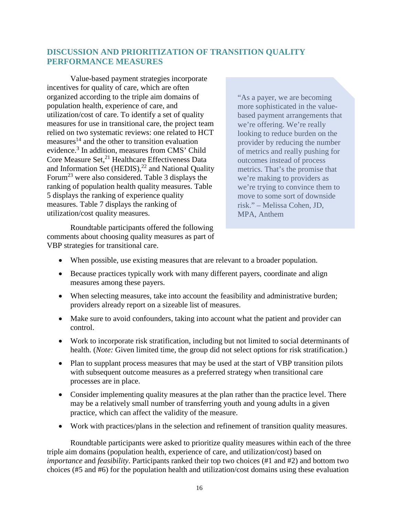# <span id="page-19-0"></span>**DISCUSSION AND PRIORITIZATION OF TRANSITION QUALITY PERFORMANCE MEASURES**

Value-based payment strategies incorporate incentives for quality of care, which are often organized according to the triple aim domains of population health, experience of care, and utilization/cost of care. To identify a set of quality measures for use in transitional care, the project team relied on two systematic reviews: one related to HCT measures<sup>14</sup> and the other to transition evaluation evidence.3 In addition, measures from CMS' Child Core Measure Set, <sup>21</sup> Healthcare Effectiveness Data and Information Set (HEDIS), <sup>22</sup> and National Quality Forum<sup>23</sup> were also considered. Table 3 displays the ranking of population health quality measures. Table 5 displays the ranking of experience quality measures. Table 7 displays the ranking of utilization/cost quality measures.

"As a payer, we are becoming more sophisticated in the valuebased payment arrangements that we're offering. We're really looking to reduce burden on the provider by reducing the number of metrics and really pushing for outcomes instead of process metrics. That's the promise that we're making to providers as we're trying to convince them to move to some sort of downside risk." – Melissa Cohen, JD, MPA, Anthem

Roundtable participants offered the following comments about choosing quality measures as part of VBP strategies for transitional care.

- When possible, use existing measures that are relevant to a broader population.
- Because practices typically work with many different payers, coordinate and align measures among these payers.
- When selecting measures, take into account the feasibility and administrative burden; providers already report on a sizeable list of measures.
- Make sure to avoid confounders, taking into account what the patient and provider can control.
- Work to incorporate risk stratification, including but not limited to social determinants of health. (*Note:* Given limited time, the group did not select options for risk stratification.)
- Plan to supplant process measures that may be used at the start of VBP transition pilots with subsequent outcome measures as a preferred strategy when transitional care processes are in place.
- Consider implementing quality measures at the plan rather than the practice level. There may be a relatively small number of transferring youth and young adults in a given practice, which can affect the validity of the measure.
- Work with practices/plans in the selection and refinement of transition quality measures.

Roundtable participants were asked to prioritize quality measures within each of the three triple aim domains (population health, experience of care, and utilization/cost) based on *importance* and *feasibility*. Participants ranked their top two choices (#1 and #2) and bottom two choices (#5 and #6) for the population health and utilization/cost domains using these evaluation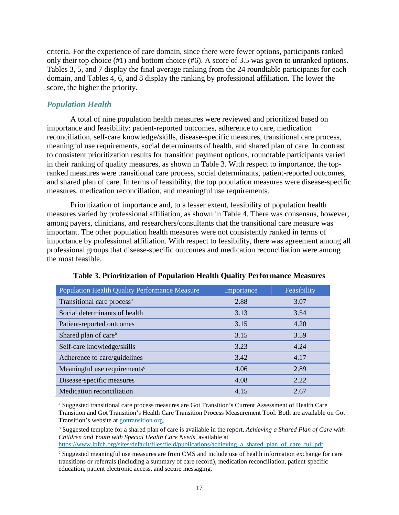criteria. For the experience of care domain, since there were fewer options, participants ranked only their top choice (#1) and bottom choice (#6). A score of 3.5 was given to unranked options. Tables 3, 5, and 7 display the final average ranking from the 24 roundtable participants for each domain, and Tables 4, 6, and 8 display the ranking by professional affiliation. The lower the score, the higher the priority.

# <span id="page-20-0"></span>*Population Health*

A total of nine population health measures were reviewed and prioritized based on importance and feasibility: patient-reported outcomes, adherence to care, medication reconciliation, self-care knowledge/skills, disease-specific measures, transitional care process, meaningful use requirements, social determinants of health, and shared plan of care. In contrast to consistent prioritization results for transition payment options, roundtable participants varied in their ranking of quality measures, as shown in Table 3. With respect to importance, the topranked measures were transitional care process, social determinants, patient-reported outcomes, and shared plan of care. In terms of feasibility, the top population measures were disease-specific measures, medication reconciliation, and meaningful use requirements.

Prioritization of importance and, to a lesser extent, feasibility of population health measures varied by professional affiliation, as shown in Table 4. There was consensus, however, among payers, clinicians, and researchers/consultants that the transitional care measure was important. The other population health measures were not consistently ranked in terms of importance by professional affiliation. With respect to feasibility, there was agreement among all professional groups that disease-specific outcomes and medication reconciliation were among the most feasible.

| <b>Population Health Quality Performance Measure</b> | Importance | Feasibility |
|------------------------------------------------------|------------|-------------|
| Transitional care process <sup>a</sup>               | 2.88       | 3.07        |
| Social determinants of health                        | 3.13       | 3.54        |
| Patient-reported outcomes                            | 3.15       | 4.20        |
| Shared plan of care <sup>b</sup>                     | 3.15       | 3.59        |
| Self-care knowledge/skills                           | 3.23       | 4.24        |
| Adherence to care/guidelines                         | 3.42       | 4.17        |
| Meaningful use requirements <sup>c</sup>             | 4.06       | 2.89        |
| Disease-specific measures                            | 4.08       | 2.22        |
| Medication reconciliation                            | 4.15       | 2.67        |

**Table 3. Prioritization of Population Health Quality Performance Measures**

<sup>a</sup> Suggested transitional care process measures are Got Transition's Current Assessment of Health Care Transition and Got Transition's Health Care Transition Process Measurement Tool. Both are available on Got Transition's website at [gottransition.org.](http://www.gottransition.org/)

<sup>b</sup> Suggested template for a shared plan of care is available in the report, *Achieving a Shared Plan of Care with Children and Youth with Special Health Care Needs*, available at

https://www.lpfch.org/sites/default/files/field/publications/achieving a shared plan of care full.pdf

<sup>c</sup> Suggested meaningful use measures are from CMS and include use of health information exchange for care transitions or referrals (including a summary of care record), medication reconciliation, patient-specific education, patient electronic access, and secure messaging.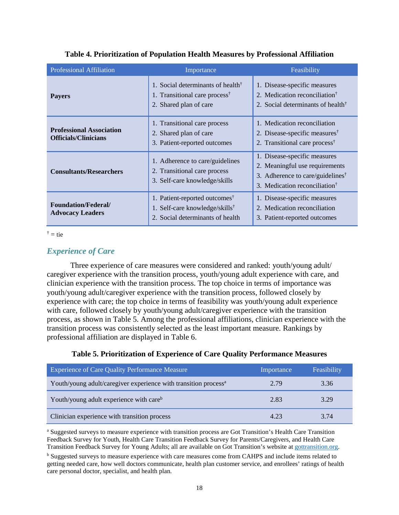| <b>Professional Affiliation</b>                                | Importance                                                                                                                              | Feasibility                                                                                                                                                 |
|----------------------------------------------------------------|-----------------------------------------------------------------------------------------------------------------------------------------|-------------------------------------------------------------------------------------------------------------------------------------------------------------|
| <b>Payers</b>                                                  | 1. Social determinants of health <sup><math>\dagger</math></sup><br>1. Transitional care process <sup>†</sup><br>2. Shared plan of care | 1. Disease-specific measures<br>2. Medication reconciliation <sup>†</sup><br>2. Social determinants of health <sup>†</sup>                                  |
| <b>Professional Association</b><br><b>Officials/Clinicians</b> | 1. Transitional care process<br>2. Shared plan of care<br>3. Patient-reported outcomes                                                  | 1. Medication reconciliation<br>2. Disease-specific measures <sup>†</sup><br>2. Transitional care process <sup>†</sup>                                      |
| <b>Consultants/Researchers</b>                                 | 1. Adherence to care/guidelines<br>2. Transitional care process<br>3. Self-care knowledge/skills                                        | 1. Disease-specific measures<br>2. Meaningful use requirements<br>3. Adherence to care/guidelines <sup>†</sup><br>3. Medication reconciliation <sup>†</sup> |
| <b>Foundation/Federal/</b><br><b>Advocacy Leaders</b>          | 1. Patient-reported outcomes <sup>†</sup><br>1. Self-care knowledge/skills <sup>†</sup><br>2. Social determinants of health             | 1. Disease-specific measures<br>2. Medication reconciliation<br>3. Patient-reported outcomes                                                                |

# **Table 4. Prioritization of Population Health Measures by Professional Affiliation**

 $\dot{f}$  = tie

# <span id="page-21-0"></span>*Experience of Care*

Three experience of care measures were considered and ranked: youth/young adult/ caregiver experience with the transition process, youth/young adult experience with care, and clinician experience with the transition process. The top choice in terms of importance was youth/young adult/caregiver experience with the transition process, followed closely by experience with care; the top choice in terms of feasibility was youth/young adult experience with care, followed closely by youth/young adult/caregiver experience with the transition process, as shown in Table 5. Among the professional affiliations, clinician experience with the transition process was consistently selected as the least important measure. Rankings by professional affiliation are displayed in Table 6.

| <b>Experience of Care Quality Performance Measure</b>                       | Importance | Feasibility |
|-----------------------------------------------------------------------------|------------|-------------|
| Youth/young adult/caregiver experience with transition process <sup>a</sup> | 2.79       | 3.36        |
| Youth/young adult experience with care <sup>b</sup>                         | 2.83       | 3.29        |
| Clinician experience with transition process                                | 4.23       | 3.74        |

# **Table 5. Prioritization of Experience of Care Quality Performance Measures**

<sup>a</sup> Suggested surveys to measure experience with transition process are Got Transition's Health Care Transition Feedback Survey for Youth, Health Care Transition Feedback Survey for Parents/Caregivers, and Health Care Transition Feedback Survey for Young Adults; all are available on Got Transition's website a[t gottransition.org.](http://www.gottransition.org/)

<sup>b</sup> Suggested surveys to measure experience with care measures come from CAHPS and include items related to getting needed care, how well doctors communicate, health plan customer service, and enrollees' ratings of health care personal doctor, specialist, and health plan.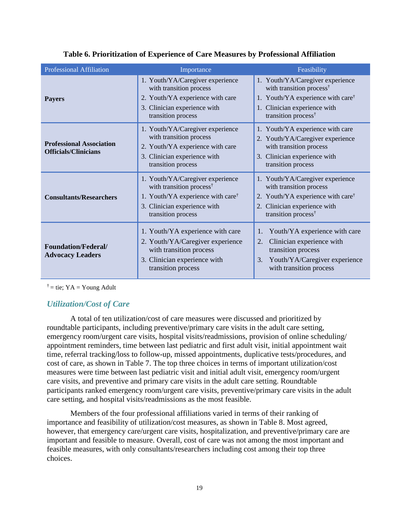| <b>Professional Affiliation</b>                                | Importance                                                                                                                                                                      | Feasibility                                                                                                                                                                                  |
|----------------------------------------------------------------|---------------------------------------------------------------------------------------------------------------------------------------------------------------------------------|----------------------------------------------------------------------------------------------------------------------------------------------------------------------------------------------|
| <b>Payers</b>                                                  | 1. Youth/YA/Caregiver experience<br>with transition process<br>2. Youth/YA experience with care<br>3. Clinician experience with<br>transition process                           | 1. Youth/YA/Caregiver experience<br>with transition process <sup>†</sup><br>1. Youth/YA experience with care <sup>†</sup><br>1. Clinician experience with<br>transition process <sup>†</sup> |
| <b>Professional Association</b><br><b>Officials/Clinicians</b> | 1. Youth/YA/Caregiver experience<br>with transition process<br>2. Youth/YA experience with care<br>3. Clinician experience with<br>transition process                           | 1. Youth/YA experience with care<br>2. Youth/YA/Caregiver experience<br>with transition process<br>3. Clinician experience with<br>transition process                                        |
| <b>Consultants/Researchers</b>                                 | 1. Youth/YA/Caregiver experience<br>with transition process <sup>†</sup><br>1. Youth/YA experience with care <sup>†</sup><br>3. Clinician experience with<br>transition process | 1. Youth/YA/Caregiver experience<br>with transition process<br>2. Youth/YA experience with care <sup>†</sup><br>2. Clinician experience with<br>transition process <sup>†</sup>              |
| <b>Foundation/Federal/</b><br><b>Advocacy Leaders</b>          | 1. Youth/YA experience with care<br>2. Youth/YA/Caregiver experience<br>with transition process<br>3. Clinician experience with<br>transition process                           | Youth/YA experience with care<br>1.<br>Clinician experience with<br>2.<br>transition process<br>Youth/YA/Caregiver experience<br>3.<br>with transition process                               |

|  |  |  | Table 6. Prioritization of Experience of Care Measures by Professional Affiliation |
|--|--|--|------------------------------------------------------------------------------------|
|--|--|--|------------------------------------------------------------------------------------|

<span id="page-22-0"></span> $\dagger$  = tie; YA = Young Adult

# *Utilization/Cost of Care*

A total of ten utilization/cost of care measures were discussed and prioritized by roundtable participants, including preventive/primary care visits in the adult care setting, emergency room/urgent care visits, hospital visits/readmissions, provision of online scheduling/ appointment reminders, time between last pediatric and first adult visit, initial appointment wait time, referral tracking/loss to follow-up, missed appointments, duplicative tests/procedures, and cost of care, as shown in Table 7. The top three choices in terms of important utilization/cost measures were time between last pediatric visit and initial adult visit, emergency room/urgent care visits, and preventive and primary care visits in the adult care setting. Roundtable participants ranked emergency room/urgent care visits, preventive/primary care visits in the adult care setting, and hospital visits/readmissions as the most feasible.

Members of the four professional affiliations varied in terms of their ranking of importance and feasibility of utilization/cost measures, as shown in Table 8. Most agreed, however, that emergency care/urgent care visits, hospitalization, and preventive/primary care are important and feasible to measure. Overall, cost of care was not among the most important and feasible measures, with only consultants/researchers including cost among their top three choices.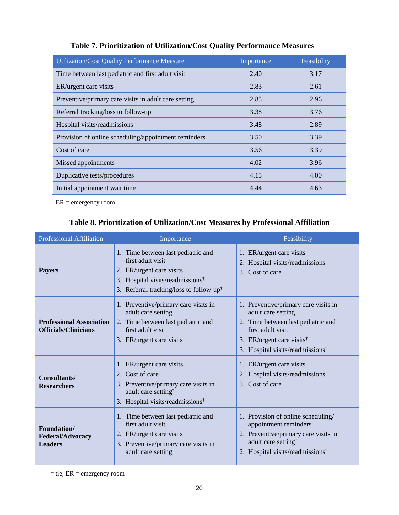| <b>Utilization/Cost Quality Performance Measure</b>  | Importance | Feasibility |
|------------------------------------------------------|------------|-------------|
| Time between last pediatric and first adult visit    | 2.40       | 3.17        |
| ER/urgent care visits                                | 2.83       | 2.61        |
| Preventive/primary care visits in adult care setting | 2.85       | 2.96        |
| Referral tracking/loss to follow-up                  | 3.38       | 3.76        |
| Hospital visits/readmissions                         | 3.48       | 2.89        |
| Provision of online scheduling/appointment reminders | 3.50       | 3.39        |
| Cost of care                                         | 3.56       | 3.39        |
| Missed appointments                                  | 4.02       | 3.96        |
| Duplicative tests/procedures                         | 4.15       | 4.00        |
| Initial appointment wait time                        | 4.44       | 4.63        |

# **Table 7. Prioritization of Utilization/Cost Quality Performance Measures**

ER = emergency room

# **Table 8. Prioritization of Utilization/Cost Measures by Professional Affiliation**

| <b>Professional Affiliation</b>                                | Importance                                                                                                                                                                                 | Feasibility                                                                                                                                                                                                    |
|----------------------------------------------------------------|--------------------------------------------------------------------------------------------------------------------------------------------------------------------------------------------|----------------------------------------------------------------------------------------------------------------------------------------------------------------------------------------------------------------|
| <b>Payers</b>                                                  | 1. Time between last pediatric and<br>first adult visit<br>2. ER/urgent care visits<br>3. Hospital visits/readmissions <sup>†</sup><br>3. Referral tracking/loss to follow-up <sup>†</sup> | 1. ER/urgent care visits<br>2. Hospital visits/readmissions<br>3. Cost of care                                                                                                                                 |
| <b>Professional Association</b><br><b>Officials/Clinicians</b> | 1. Preventive/primary care visits in<br>adult care setting<br>2. Time between last pediatric and<br>first adult visit<br>3. ER/urgent care visits                                          | 1. Preventive/primary care visits in<br>adult care setting<br>2. Time between last pediatric and<br>first adult visit<br>3. ER/urgent care visits <sup>†</sup><br>3. Hospital visits/readmissions <sup>†</sup> |
| Consultants/<br><b>Researchers</b>                             | 1. ER/urgent care visits<br>Cost of care<br>2.<br>3. Preventive/primary care visits in<br>adult care setting <sup>†</sup><br>3. Hospital visits/readmissions <sup>†</sup>                  | 1. ER/urgent care visits<br>2. Hospital visits/readmissions<br>3. Cost of care                                                                                                                                 |
| Foundation/<br><b>Federal/Advocacy</b><br><b>Leaders</b>       | 1. Time between last pediatric and<br>first adult visit<br>2. ER/urgent care visits<br>3. Preventive/primary care visits in<br>adult care setting                                          | 1. Provision of online scheduling/<br>appointment reminders<br>2. Preventive/primary care visits in<br>adult care setting <sup>†</sup><br>2. Hospital visits/readmissions <sup>†</sup>                         |

 $\dot{f}$  = tie; ER = emergency room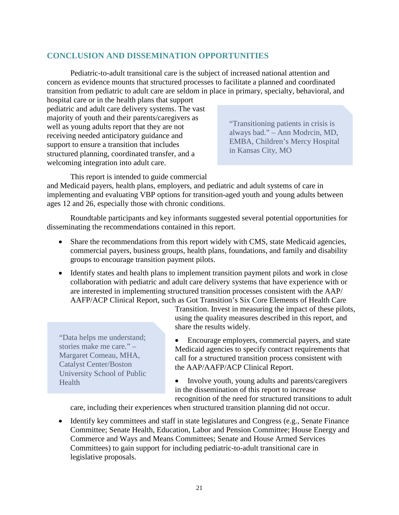# <span id="page-24-0"></span>**CONCLUSION AND DISSEMINATION OPPORTUNITIES**

Pediatric-to-adult transitional care is the subject of increased national attention and concern as evidence mounts that structured processes to facilitate a planned and coordinated transition from pediatric to adult care are seldom in place in primary, specialty, behavioral, and

hospital care or in the health plans that support pediatric and adult care delivery systems. The vast majority of youth and their parents/caregivers as well as young adults report that they are not receiving needed anticipatory guidance and support to ensure a transition that includes structured planning, coordinated transfer, and a welcoming integration into adult care.

"Transitioning patients in crisis is always bad." – Ann Modrcin, MD, EMBA, Children's Mercy Hospital in Kansas City, MO

This report is intended to guide commercial

and Medicaid payers, health plans, employers, and pediatric and adult systems of care in implementing and evaluating VBP options for transition-aged youth and young adults between ages 12 and 26, especially those with chronic conditions.

Roundtable participants and key informants suggested several potential opportunities for disseminating the recommendations contained in this report.

- Share the recommendations from this report widely with CMS, state Medicaid agencies, commercial payers, business groups, health plans, foundations, and family and disability groups to encourage transition payment pilots.
- Identify states and health plans to implement transition payment pilots and work in close collaboration with pediatric and adult care delivery systems that have experience with or are interested in implementing structured transition processes consistent with the AAP/ AAFP/ACP Clinical Report, such as Got Transition's Six Core Elements of Health Care

"Data helps me understand; stories make me care." – Margaret Comeau, MHA, Catalyst Center/Boston University School of Public Health

Transition. Invest in measuring the impact of these pilots, using the quality measures described in this report, and share the results widely.

- Encourage employers, commercial payers, and state Medicaid agencies to specify contract requirements that call for a structured transition process consistent with the AAP/AAFP/ACP Clinical Report.
- Involve youth, young adults and parents/caregivers in the dissemination of this report to increase recognition of the need for structured transitions to adult

care, including their experiences when structured transition planning did not occur.

• Identify key committees and staff in state legislatures and Congress (e.g., Senate Finance Committee; Senate Health, Education, Labor and Pension Committee; House Energy and Commerce and Ways and Means Committees; Senate and House Armed Services Committees) to gain support for including pediatric-to-adult transitional care in legislative proposals.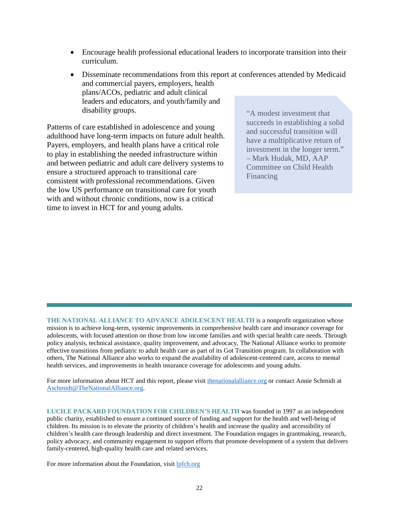- Encourage health professional educational leaders to incorporate transition into their curriculum.
- Disseminate recommendations from this report at conferences attended by Medicaid and commercial payers, employers, health plans/ACOs, pediatric and adult clinical leaders and educators, and youth/family and disability groups.

Patterns of care established in adolescence and young adulthood have long-term impacts on future adult health. Payers, employers, and health plans have a critical role to play in establishing the needed infrastructure within and between pediatric and adult care delivery systems to ensure a structured approach to transitional care consistent with professional recommendations. Given the low US performance on transitional care for youth with and without chronic conditions, now is a critical time to invest in HCT for and young adults.

"A modest investment that succeeds in establishing a solid and successful transition will have a multiplicative return of investment in the longer term." – Mark Hudak, MD, AAP Committee on Child Health Financing

**THE NATIONAL ALLIANCE TO ADVANCE ADOLESCENT HEALTH** is a nonprofit organization whose mission is to achieve long-term, systemic improvements in comprehensive health care and insurance coverage for adolescents, with focused attention on those from low income families and with special health care needs. Through policy analysis, technical assistance, quality improvement, and advocacy, The National Alliance works to promote effective transitions from pediatric to adult health care as part of its Got Transition program. In collaboration with others, The National Alliance also works to expand the availability of adolescent-centered care, access to mental health services, and improvements in health insurance coverage for adolescents and young adults.

For more information about HCT and this report, please visit [thenationalalliance.org](mailto:thenationalalliance.org) or contact Annie Schmidt at [Aschmidt@TheNationalAlliance.org.](mailto:Aschmidt@TheNationalAlliance.org)

**LUCILE PACKARD FOUNDATION FOR CHILDREN'S HEALTH** was founded in 1997 as an independent public charity, established to ensure a continued source of funding and support for the health and well-being of children. Its mission is to elevate the priority of children's health and increase the quality and accessibility of children's health care through leadership and direct investment. The Foundation engages in grantmaking, research, policy advocacy, and community engagement to support efforts that promote development of a system that delivers family-centered, high-quality health care and related services.

For more information about the Foundation, visit [lpfch.org](http://www.lpfch.org/)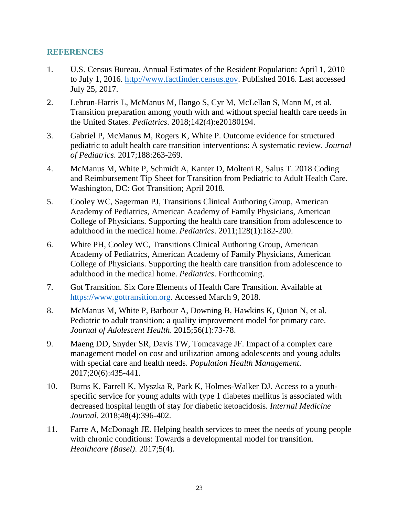# <span id="page-26-0"></span>**REFERENCES**

- 1. U.S. Census Bureau. Annual Estimates of the Resident Population: April 1, 2010 to July 1, 2016. [http://www.factfinder.census.gov.](http://www.factfinder.census.gov/) Published 2016. Last accessed July 25, 2017.
- 2. Lebrun-Harris L, McManus M, Ilango S, Cyr M, McLellan S, Mann M, et al. Transition preparation among youth with and without special health care needs in the United States. *Pediatrics*. 2018;142(4):e20180194.
- 3. Gabriel P, McManus M, Rogers K, White P. Outcome evidence for structured pediatric to adult health care transition interventions: A systematic review. *Journal of Pediatrics*. 2017;188:263-269.
- 4. McManus M, White P, Schmidt A, Kanter D, Molteni R, Salus T. 2018 Coding and Reimbursement Tip Sheet for Transition from Pediatric to Adult Health Care. Washington, DC: Got Transition; April 2018.
- 5. Cooley WC, Sagerman PJ, Transitions Clinical Authoring Group, American Academy of Pediatrics, American Academy of Family Physicians, American College of Physicians. Supporting the health care transition from adolescence to adulthood in the medical home. *Pediatrics*. 2011;128(1):182-200.
- 6. White PH, Cooley WC, Transitions Clinical Authoring Group, American Academy of Pediatrics, American Academy of Family Physicians, American College of Physicians. Supporting the health care transition from adolescence to adulthood in the medical home. *Pediatrics*. Forthcoming.
- 7. Got Transition. Six Core Elements of Health Care Transition. Available at [https://www.gottransition.org.](https://www.gottransition.org/) Accessed March 9, 2018.
- 8. McManus M, White P, Barbour A, Downing B, Hawkins K, Quion N, et al. Pediatric to adult transition: a quality improvement model for primary care. *Journal of Adolescent Health*. 2015;56(1):73-78.
- 9. Maeng DD, Snyder SR, Davis TW, Tomcavage JF. Impact of a complex care management model on cost and utilization among adolescents and young adults with special care and health needs. *Population Health Management*. 2017;20(6):435-441.
- 10. Burns K, Farrell K, Myszka R, Park K, Holmes-Walker DJ. Access to a youthspecific service for young adults with type 1 diabetes mellitus is associated with decreased hospital length of stay for diabetic ketoacidosis. *Internal Medicine Journal*. 2018;48(4):396-402.
- 11. Farre A, McDonagh JE. Helping health services to meet the needs of young people with chronic conditions: Towards a developmental model for transition. *Healthcare (Basel)*. 2017;5(4).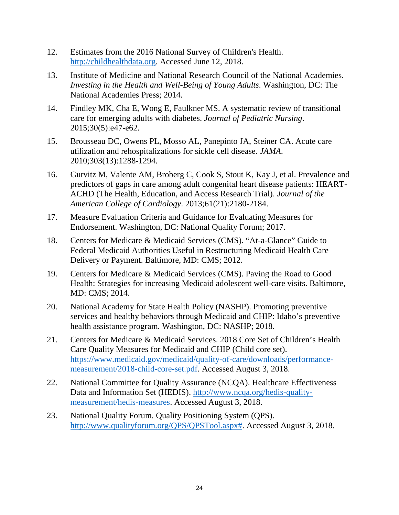- 12. Estimates from the 2016 National Survey of Children's Health. [http://childhealthdata.org.](http://childhealthdata.org/) Accessed June 12, 2018.
- 13. Institute of Medicine and National Research Council of the National Academies. *Investing in the Health and Well-Being of Young Adults*. Washington, DC: The National Academies Press; 2014.
- 14. Findley MK, Cha E, Wong E, Faulkner MS. A systematic review of transitional care for emerging adults with diabetes. *Journal of Pediatric Nursing*. 2015;30(5):e47-e62.
- 15. Brousseau DC, Owens PL, Mosso AL, Panepinto JA, Steiner CA. Acute care utilization and rehospitalizations for sickle cell disease. *JAMA*. 2010;303(13):1288-1294.
- 16. Gurvitz M, Valente AM, Broberg C, Cook S, Stout K, Kay J, et al. Prevalence and predictors of gaps in care among adult congenital heart disease patients: HEART-ACHD (The Health, Education, and Access Research Trial). *Journal of the American College of Cardiology*. 2013;61(21):2180-2184.
- 17. Measure Evaluation Criteria and Guidance for Evaluating Measures for Endorsement. Washington, DC: National Quality Forum; 2017.
- 18. Centers for Medicare & Medicaid Services (CMS). "At-a-Glance" Guide to Federal Medicaid Authorities Useful in Restructuring Medicaid Health Care Delivery or Payment. Baltimore, MD: CMS; 2012.
- 19. Centers for Medicare & Medicaid Services (CMS). Paving the Road to Good Health: Strategies for increasing Medicaid adolescent well-care visits. Baltimore, MD: CMS; 2014.
- 20. National Academy for State Health Policy (NASHP). Promoting preventive services and healthy behaviors through Medicaid and CHIP: Idaho's preventive health assistance program. Washington, DC: NASHP; 2018.
- 21. Centers for Medicare & Medicaid Services. 2018 Core Set of Children's Health Care Quality Measures for Medicaid and CHIP (Child core set). [https://www.medicaid.gov/medicaid/quality-of-care/downloads/performance](https://www.medicaid.gov/medicaid/quality-of-care/downloads/performance-measurement/2018-child-core-set.pdf)[measurement/2018-child-core-set.pdf.](https://www.medicaid.gov/medicaid/quality-of-care/downloads/performance-measurement/2018-child-core-set.pdf) Accessed August 3, 2018.
- 22. National Committee for Quality Assurance (NCQA). Healthcare Effectiveness Data and Information Set (HEDIS). [http://www.ncqa.org/hedis-quality](http://www.ncqa.org/hedis-quality-measurement/hedis-measures)[measurement/hedis-measures.](http://www.ncqa.org/hedis-quality-measurement/hedis-measures) Accessed August 3, 2018.
- 23. National Quality Forum. Quality Positioning System (QPS). [http://www.qualityforum.org/QPS/QPSTool.aspx#.](http://www.qualityforum.org/QPS/QPSTool.aspx) Accessed August 3, 2018.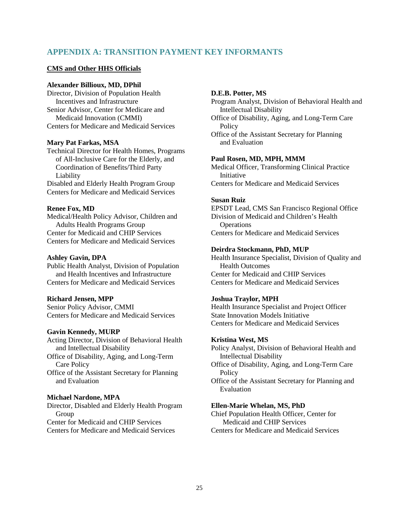# <span id="page-28-0"></span>**APPENDIX A: TRANSITION PAYMENT KEY INFORMANTS**

### **CMS and Other HHS Officials**

#### **Alexander Billioux, MD, DPhil**

Director, Division of Population Health Incentives and Infrastructure Senior Advisor, Center for Medicare and Medicaid Innovation (CMMI) Centers for Medicare and Medicaid Services

#### **Mary Pat Farkas, MSA**

Technical Director for Health Homes, Programs of All-Inclusive Care for the Elderly, and Coordination of Benefits/Third Party Liability Disabled and Elderly Health Program Group Centers for Medicare and Medicaid Services

#### **Renee Fox, MD**

Medical/Health Policy Advisor, Children and Adults Health Programs Group Center for Medicaid and CHIP Services Centers for Medicare and Medicaid Services

#### **Ashley Gavin, DPA**

Public Health Analyst, Division of Population and Health Incentives and Infrastructure Centers for Medicare and Medicaid Services

#### **Richard Jensen, MPP**

Senior Policy Advisor, CMMI Centers for Medicare and Medicaid Services

#### **Gavin Kennedy, MURP**

Acting Director, Division of Behavioral Health and Intellectual Disability

Office of Disability, Aging, and Long-Term Care Policy

Office of the Assistant Secretary for Planning and Evaluation

#### **Michael Nardone, MPA**

Director, Disabled and Elderly Health Program Group Center for Medicaid and CHIP Services Centers for Medicare and Medicaid Services

### **D.E.B. Potter, MS**

Program Analyst, Division of Behavioral Health and Intellectual Disability

Office of Disability, Aging, and Long-Term Care **Policy** 

Office of the Assistant Secretary for Planning and Evaluation

#### **Paul Rosen, MD, MPH, MMM**

Medical Officer, Transforming Clinical Practice Initiative Centers for Medicare and Medicaid Services

#### **Susan Ruiz**

EPSDT Lead, CMS San Francisco Regional Office Division of Medicaid and Children's Health **Operations** Centers for Medicare and Medicaid Services

#### **Deirdra Stockmann, PhD, MUP**

Health Insurance Specialist, Division of Quality and Health Outcomes Center for Medicaid and CHIP Services Centers for Medicare and Medicaid Services

#### **Joshua Traylor, MPH**

Health Insurance Specialist and Project Officer State Innovation Models Initiative Centers for Medicare and Medicaid Services

#### **Kristina West, MS**

Policy Analyst, Division of Behavioral Health and Intellectual Disability

Office of Disability, Aging, and Long-Term Care Policy

Office of the Assistant Secretary for Planning and Evaluation

#### **Ellen-Marie Whelan, MS, PhD**

Chief Population Health Officer, Center for Medicaid and CHIP Services Centers for Medicare and Medicaid Services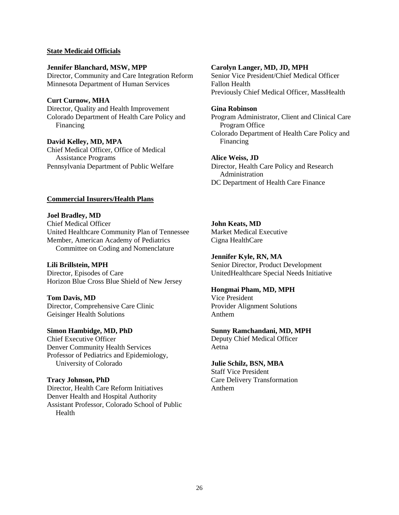#### **State Medicaid Officials**

**Jennifer Blanchard, MSW, MPP** Director, Community and Care Integration Reform Minnesota Department of Human Services

#### **Curt Curnow, MHA**

Director, Quality and Health Improvement Colorado Department of Health Care Policy and Financing

### **David Kelley, MD, MPA**

Chief Medical Officer, Office of Medical Assistance Programs Pennsylvania Department of Public Welfare

#### **Commercial Insurers/Health Plans**

**Joel Bradley, MD** Chief Medical Officer United Healthcare Community Plan of Tennessee Member, American Academy of Pediatrics Committee on Coding and Nomenclature

#### **Lili Brillstein, MPH**

Director, Episodes of Care Horizon Blue Cross Blue Shield of New Jersey

**Tom Davis, MD**

Director, Comprehensive Care Clinic Geisinger Health Solutions

**Simon Hambidge, MD, PhD** Chief Executive Officer Denver Community Health Services Professor of Pediatrics and Epidemiology, University of Colorado

#### **Tracy Johnson, PhD**

Director, Health Care Reform Initiatives Denver Health and Hospital Authority Assistant Professor, Colorado School of Public Health

#### **Carolyn Langer, MD, JD, MPH**

Senior Vice President/Chief Medical Officer Fallon Health Previously Chief Medical Officer, MassHealth

#### **Gina Robinson**

Program Administrator, Client and Clinical Care Program Office Colorado Department of Health Care Policy and Financing

#### **Alice Weiss, JD**

Director, Health Care Policy and Research Administration DC Department of Health Care Finance

**John Keats, MD** Market Medical Executive Cigna HealthCare

**Jennifer Kyle, RN, MA** Senior Director, Product Development UnitedHealthcare Special Needs Initiative

#### **Hongmai Pham, MD, MPH**

Vice President Provider Alignment Solutions Anthem

#### **Sunny Ramchandani, MD, MPH**

Deputy Chief Medical Officer Aetna

#### **Julie Schilz, BSN, MBA**

Staff Vice President Care Delivery Transformation Anthem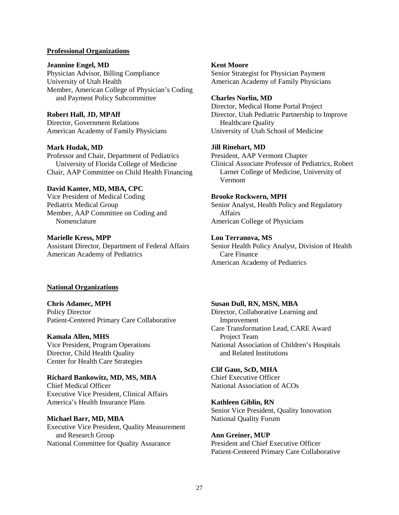#### **Professional Organizations**

#### **Jeannine Engel, MD**

Physician Advisor, Billing Compliance University of Utah Health Member, American College of Physician's Coding and Payment Policy Subcommittee

# **Robert Hall, JD, MPAff**

Director, Government Relations American Academy of Family Physicians

### **Mark Hudak, MD**

Professor and Chair, Department of Pediatrics University of Florida College of Medicine Chair, AAP Committee on Child Health Financing

### **David Kanter, MD, MBA, CPC**

Vice President of Medical Coding Pediatrix Medical Group Member, AAP Committee on Coding and Nomenclature

#### **Marielle Kress, MPP** Assistant Director, Department of Federal Affairs American Academy of Pediatrics

### **National Organizations**

**Chris Adamec, MPH** Policy Director Patient-Centered Primary Care Collaborative

### **Kamala Allen, MHS**

Vice President, Program Operations Director, Child Health Quality Center for Health Care Strategies

**Richard Bankowitz, MD, MS, MBA** Chief Medical Officer Executive Vice President, Clinical Affairs America's Health Insurance Plans

**Michael Barr, MD, MBA** Executive Vice President, Quality Measurement and Research Group National Committee for Quality Assurance

#### **Kent Moore**

Senior Strategist for Physician Payment American Academy of Family Physicians

### **Charles Norlin, MD**

Director, Medical Home Portal Project Director, Utah Pediatric Partnership to Improve Healthcare Quality University of Utah School of Medicine

#### **Jill Rinehart, MD**

President, AAP Vermont Chapter Clinical Associate Professor of Pediatrics, Robert Larner College of Medicine, University of Vermont

### **Brooke Rockwern, MPH**

Senior Analyst, Health Policy and Regulatory Affairs American College of Physicians

# **Lou Terranova, MS**

Senior Health Policy Analyst, Division of Health Care Finance American Academy of Pediatrics

# **Susan Dull, RN, MSN, MBA**

Director, Collaborative Learning and Improvement Care Transformation Lead, CARE Award Project Team National Association of Children's Hospitals and Related Institutions

### **Clif Gaus, ScD, MHA**

Chief Executive Officer National Association of ACOs

### **Kathleen Giblin, RN**

Senior Vice President, Quality Innovation National Quality Forum

# **Ann Greiner, MUP** President and Chief Executive Officer Patient-Centered Primary Care Collaborative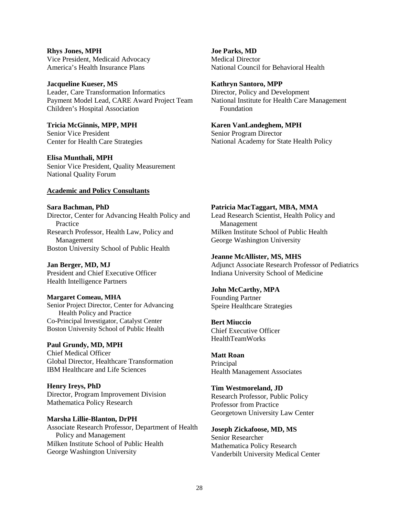**Rhys Jones, MPH** Vice President, Medicaid Advocacy America's Health Insurance Plans

**Jacqueline Kueser, MS** Leader, Care Transformation Informatics Payment Model Lead, CARE Award Project Team Children's Hospital Association

**Tricia McGinnis, MPP, MPH** Senior Vice President Center for Health Care Strategies

**Elisa Munthali, MPH**

Senior Vice President, Quality Measurement National Quality Forum

#### **Academic and Policy Consultants**

**Sara Bachman, PhD**  Director, Center for Advancing Health Policy and Practice Research Professor, Health Law, Policy and Management Boston University School of Public Health

**Jan Berger, MD, MJ** President and Chief Executive Officer Health Intelligence Partners

**Margaret Comeau, MHA** Senior Project Director, Center for Advancing Health Policy and Practice

Co-Principal Investigator, Catalyst Center Boston University School of Public Health

**Paul Grundy, MD, MPH** Chief Medical Officer Global Director, Healthcare Transformation IBM Healthcare and Life Sciences

**Henry Ireys, PhD**  Director, Program Improvement Division Mathematica Policy Research

**Marsha Lillie-Blanton, DrPH** Associate Research Professor, Department of Health Policy and Management Milken Institute School of Public Health George Washington University

**Joe Parks, MD** Medical Director National Council for Behavioral Health

**Kathryn Santoro, MPP** Director, Policy and Development National Institute for Health Care Management Foundation

**Karen VanLandeghem, MPH** Senior Program Director National Academy for State Health Policy

#### **Patricia MacTaggart, MBA, MMA**

Lead Research Scientist, Health Policy and Management Milken Institute School of Public Health George Washington University

**Jeanne McAllister, MS, MHS**

Adjunct Associate Research Professor of Pediatrics Indiana University School of Medicine

**John McCarthy, MPA** Founding Partner Speire Healthcare Strategies

**Bert Miuccio**

Chief Executive Officer HealthTeamWorks

**Matt Roan** Principal Health Management Associates

**Tim Westmoreland, JD** Research Professor, Public Policy Professor from Practice Georgetown University Law Center

**Joseph Zickafoose, MD, MS** Senior Researcher Mathematica Policy Research Vanderbilt University Medical Center